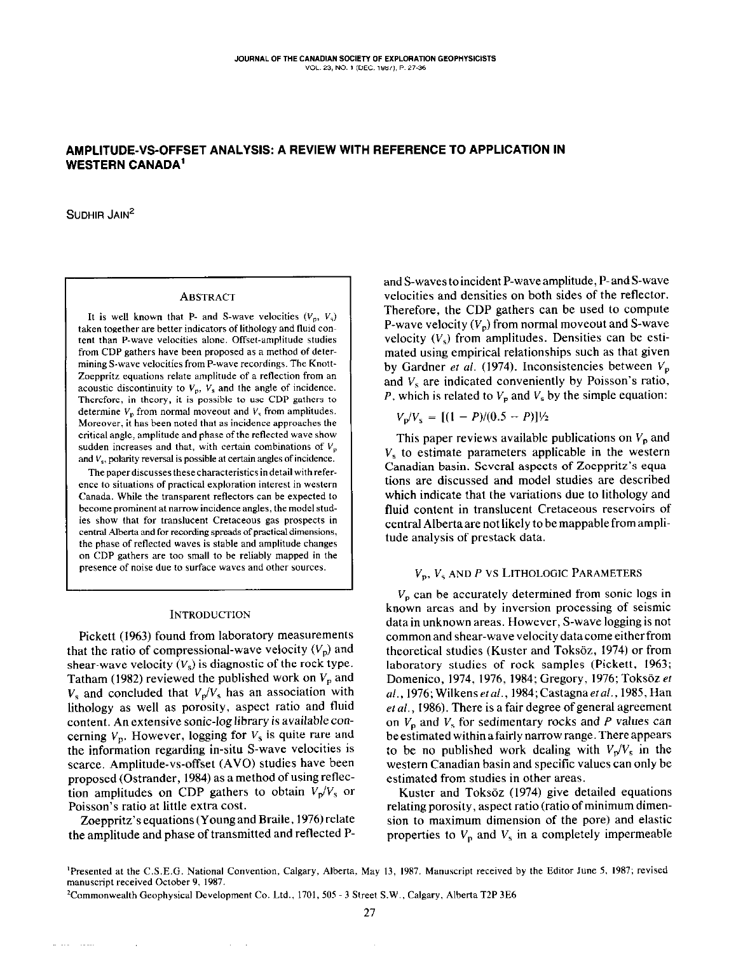# AMPLITUDE-%-OFFSET ANALYSIS: A REVIEW WITH REFERENCE TO APPLICATION IN WESTERN CANADA'

SUDHIR JAIN'

### **ABSTRACT**

It is well known that P- and S-wave velocities  $(V_p, V_s)$ taken together are better indicators of lithology and fluid content than P-wave velocities alone. offset-amplitude studies from CUP gathers have been propased as a method of determining S-wave velocities from P-wave recordings. The Knatt-Zoeppritz equations relate amplitude of a reflection from an acoustic discontinuity to  $V_p$ ,  $V_s$  and the angle of incidence. Therefore, in theory, it is possible to use CDP gathers 10 determine  $V_n$  from normal moveout and  $V_s$  from amplitudes. Moreover, it has been noted that as incidence approaches the critical angle, amplitude and phase of the reflected wave show sudden increases and that, with certain combinations of  $V_p$ and  $V_s$ , polarity reversal is possible at certain angles of incidence.

The paper discusses these characteristics in detail with reference to situations of practical exploration interest in western Canada. While the transparent reflectors can be expected to become prominent at narrow incidence angles, the model studies show that for translucent Cretaceous gas prospects in central Alberta and for recording spreads of practical dimensions, the phase of reflected waves is stable and amplitude changes on CDP gathers are too small to be reliably mapped in the presence of noise due to surface waves and other sowces.

#### **INTRODUCTION**

Pickett (1963) found from laboratory measurements that the ratio of compressional-wave velocity  $(V_p)$  and shear-wave velocity  $(V_s)$  is diagnostic of the rock type. Tatham (1982) reviewed the published work on  $V_p$  and  $V_s$  and concluded that  $V_p/V_s$  has an association with lithology as well as porosity, aspect ratio and fluid content. An extensive sonic-log library is available concerning  $V_p$ . However, logging for  $V_s$  is quite rare and the information regarding in-situ S-wave velocities is scarce. Amplitude-vs-offset (AVO) studies have been proposed (Ostrander, 1984) as a method of using reflection amplitudes on CDP gathers to obtain  $V_p/V_s$  or Poisson's ratio at little extra cost.

Zoeppritz's equations (Young and Braile, 1976) relate the amplitude and phase of transmitted and reflected P- and S-waves toincident P-waveamplitude, P-and S-wave velocities and densities on both sides of the reflector. Therefore, the CDP gathers can be used to compute P-wave velocity  $(V_n)$  from normal moveout and S-wave velocity  $(V_s)$  from amplitudes. Densities can be estimated using empirical relationships such as that given by Gardner et al. (1974). Inconsistencies between  $V_p$ and  $V_s$  are indicated conveniently by Poisson's ratio, P, which is related to  $V<sub>p</sub>$  and  $V<sub>s</sub>$  by the simple equation:

$$
V_{\rm p}/V_{\rm s} = [(1 - P)/(0.5 - P)]^{1/2}
$$

This paper reviews available publications on  $V_p$  and  $V<sub>s</sub>$  to estimate parameters applicable in the western Canadian basin. Several aspects of Zoeppritz's equations are discussed and model studies are described which indicate that the variations due to lithology and fluid content in translucent Cretaceous reservoirs of central Alberta are not likely to be mappable from amplitude analysis of prestack data.

## $V_p$ ,  $V_s$  and P vs Lithologic Parameters

 $V<sub>n</sub>$  can be accurately determined from sonic logs in known areas and by inversion processing of seismic data in unknown areas. However, S-wave logging is not commonandshear-wavevelocitydatacomeeitherfrom theoretical studies (Kuster and Toksöz, 1974) or from laboratory studies of rock samples (Pickett, 1963; Domenico, 1974, 1976, 1984; Gregory, 1976; Toksöz et al., 1976; Wilkens et al., 1984; Castagna et al., 1985, Han et al., 1986). There is a fair degree of general agreement on  $V_p$  and  $V_s$  for sedimentary rocks and P values can be estimated within a fairly narrow range. There appears to be no published work dealing with  $V_p/V_s$  in the western Canadian basin and specific values can only be estimated from studies in other areas.

Kuster and Toksöz (1974) give detailed equations relating porosity, aspect ratio (ratio of minimum dimension to maximum dimension of the pore) and elastic properties to  $V_p$  and  $V_s$  in a completely impermeable

<sup>2</sup>Commonwealth Geophysical Development Co. Ltd., 1701, 505 - 3 Street S.W., Calgary, Alberta T2P 3E6

<sup>&</sup>lt;sup>1</sup>Presented at the C.S.E.G. National Convention, Calgary, Alberta, May 13, 1987. Manuscript received by the Editor June 5, 1987; revised manuscript received October 9, 1987.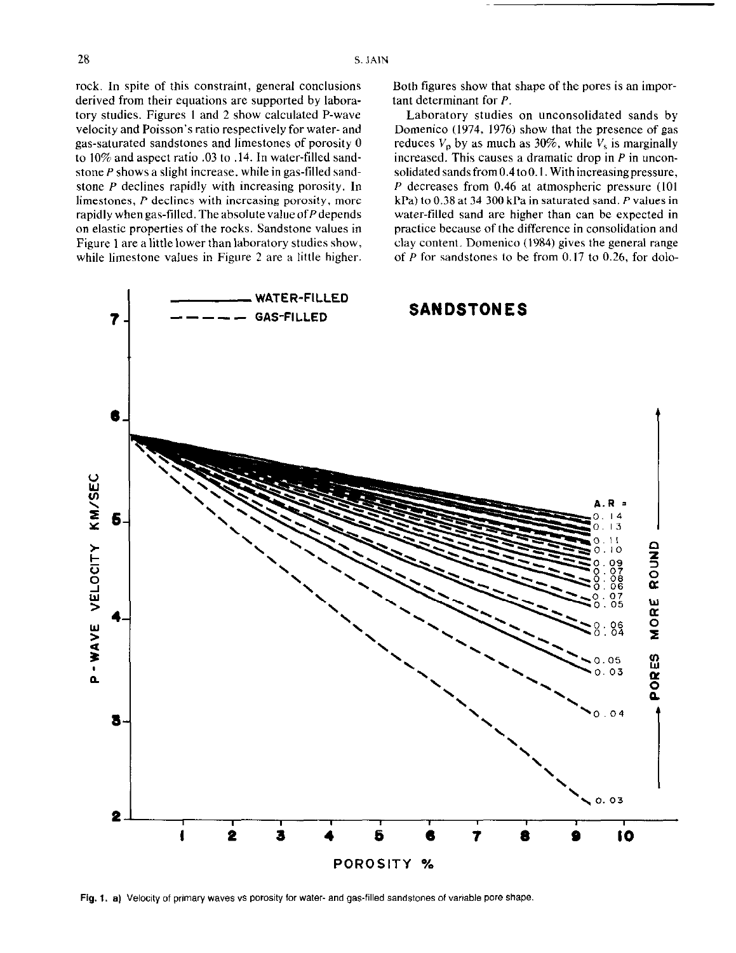rock. In spite of this constraint, general conclusions derived from their equations are supported by laboratory studies. Figures I and 2 show calculated P-wave velocity and Poisson's ratio respectively for water- and gas-saturated sandstones and limestones of porosity 0 to 10% and aspect ratio .03 to .14. In water-tilled sandstone P shows a slight increase. while in gas-tilled sandstone P declines rapidly with increasing porosity. In limestones, P declines with increasing porosity, more rapidly when gas-filled. The absolute value of  $P$  depends on elastic properties of the rocks. Sandstone values in Figure 1 are a little lower than laboratory studies show, while limestone values in Figure 2 are a little higher. Both figures show that shape of the pores is an important determinant for P.

Laboratory studies on unconsolidated sands by Domenico (1974, 1976) show that the presence of gas reduces  $V_p$  by as much as 30%, while  $V_s$  is marginally increased. This causes a dramatic drop in  $P$  in unconsolidated sands from  $0.4$  to  $0.1$ . With increasing pressure, P decreases from 0.46 at atmospheric pressure (IO1 kPa) to 0.38 at 34 300 kPa in saturated sand. P values in water-tilled sand are higher than can be expected in practice because of the difference in consolidation and clay content. Domenico (1984) gives the general range of P for sandstones to be from  $0.17$  to  $0.26$ , for dolo-



Fig. 1. a) Velocity of primary waves vs porosity for water- and gas-filled sandstones of variable pore shape.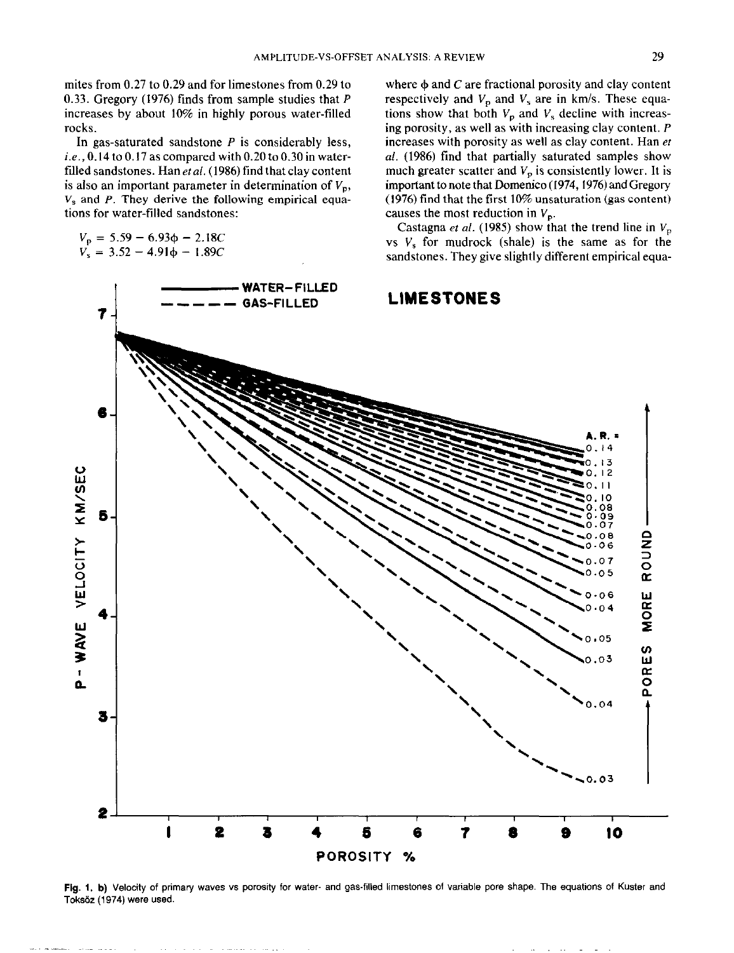mites from 0.27 to 0.29 and for limestones from 0.29 to 0.33. Gregory (1976) finds from sample studies that P increases by about 10% in highly porous water-filled rocks.

In gas-saturated sandstone  $P$  is considerably less, i.e.,  $0.14$  to  $0.17$  as compared with  $0.20$  to  $0.30$  in waterfilled sandstones. Han  $et al.$  (1986) find that clay content is also an important parameter in determination of  $V_p$ ,  $V<sub>s</sub>$  and P. They derive the following empirical equations for water-filled sandstones:

$$
V_{\rm p} = 5.59 - 6.93\phi - 2.18C
$$
  

$$
V_{\rm s} = 3.52 - 4.91\phi - 1.89C
$$

where  $\phi$  and C are fractional porosity and clay content respectively and  $V_p$  and  $V_s$  are in km/s. These equations show that both  $V_p$  and  $V_s$  decline with increasing porosity, as well as with increasing clay content. P increases with porosity as well as clay content. Han er al. (1986) find that partially saturated samples show much greater scatter and  $V_p$  is consistently lower. It is important to note that Domenico (1974, 1976) and Gregory (1976) find that the first  $10\%$  unsaturation (gas content) causes the most reduction in  $V_p$ .

Castagna et al. (1985) show that the trend line in  $V_p$ vs  $V_s$  for mudrock (shale) is the same as for the sandstones. They give slightly different empirical equa-



Fig. 1. b) Velocity of primary waves vs porosity for water- and gas-filled limestones of variable pore shape. The equations of Kuster and Toksdz (1974) were used.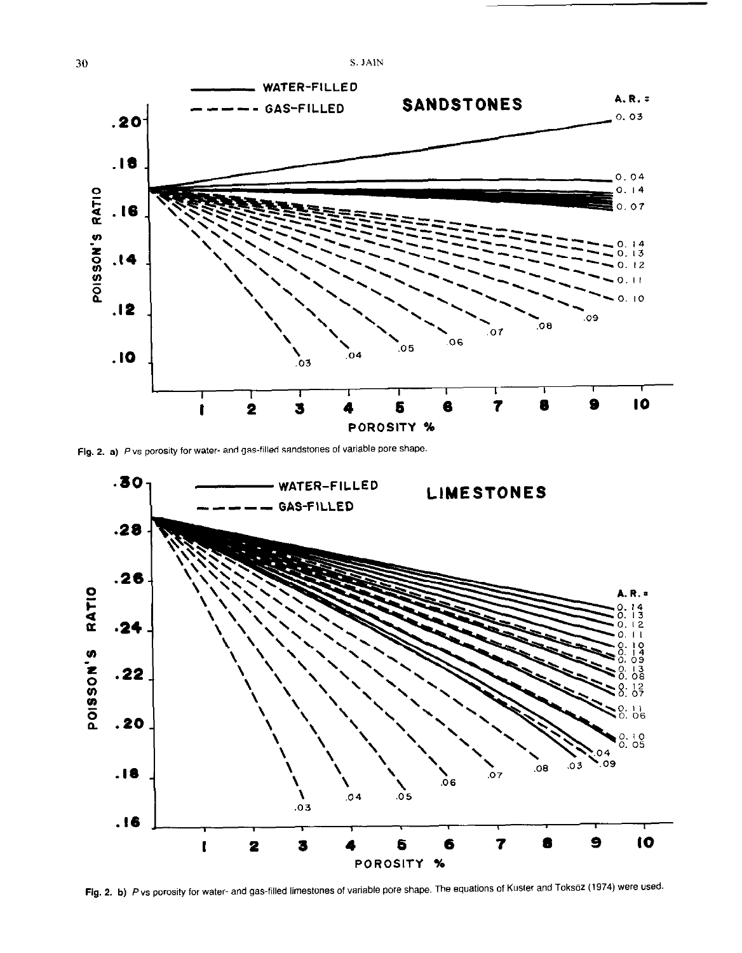

Fig. 2. a) P vs porosity for water- and gas-filled sandstones of variable pore shape.



Fig. 2. b) P vs porosity for water- and gas-filled limestones of variable pore shape. The equations of Kuster and Toksöz (1974) were used.

S. JAIN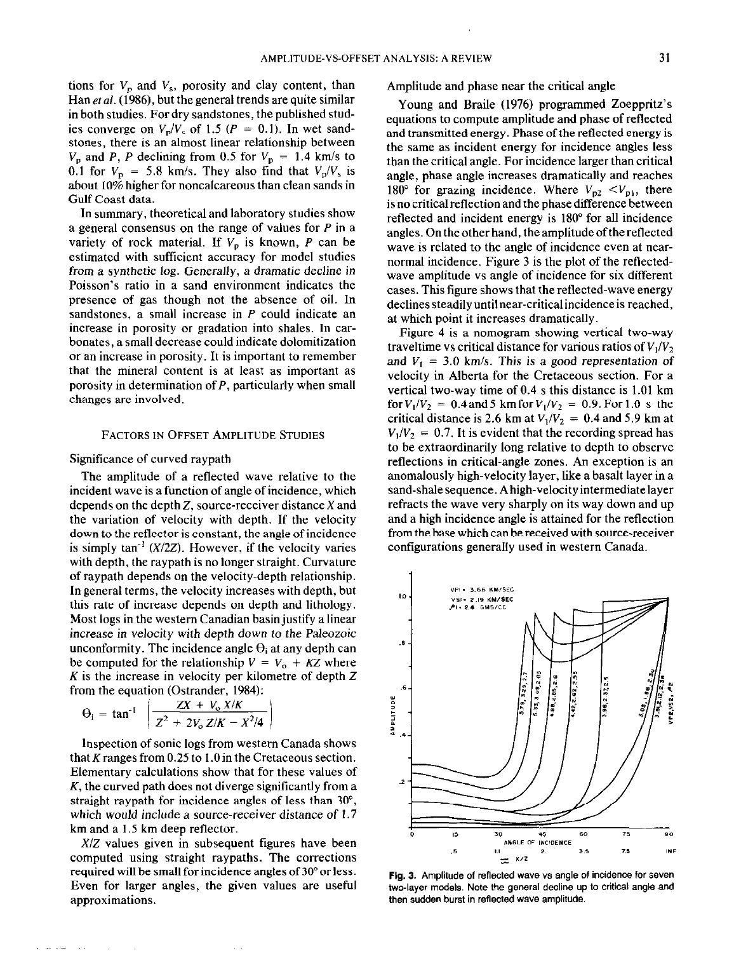tions for  $V_p$  and  $V_s$ , porosity and clay content, than Han et al. (1986), but the general trends are quite similar in both studies. For dry sandstones, the published studies converge on  $V_p/V_s$  of 1.5 ( $P = 0.1$ ). In wet sandstones, there is an almost linear relationship between  $V_p$  and P, P declining from 0.5 for  $V_p = 1.4$  km/s to 0.1 for  $V_p = 5.8$  km/s. They also find that  $V_p/V_s$  is about 10% higher for noncalcareous than clean sands in Gulf Coast data.

In summary, theoretical and laboratory studies show a general consensus on the range of values for P in a variety of rock material. If  $V_p$  is known, P can be estimated with sufficient accuracy for model studies from a synthetic log. Generally, a dramatic decline in Poisson's ratio in a sand environment indicates the presence of gas though not the absence of oil. In sandstones, a small increase in  $P$  could indicate an increase in porosity or gradation into shales. In carbonates, a small decrease could indicate dolomitization or an increase in porosity. It is important to remember that the mineral content is at least as important as porosity in determination of  $P$ , particularly when small changes are involved.

#### FACTORS IN OFFSET AMPLITUDE STUDIES

## Significance of curved raypath

The amplitude of a reflected wave relative to the incident wave is a function of angle of incidence, which depends on the depth 2, source-receiver distance X and the variation of velocity with depth. If the velocity down to the reflector is constant, the angle of incidence is simply  $tan^{-1}$  ( $X/2Z$ ). However, if the velocity varies with depth, the raypath is no longer straight. Curvature of raypath depends on the velocity-depth relationship. In general terms, the velocity increases with depth, but this rate of increase depends on depth and lithology. Most logs in the western Canadian basin justify a linear increase in velocity with depth down to the Paleozoic unconformity. The incidence angle  $\Theta_i$  at any depth can be computed for the relationship  $V = V_0 + KZ$  where  $K$  is the increase in velocity per kilometre of depth  $Z$ from the equation (Ostrander, 1984):

$$
\Theta_{i} = \tan^{-1} \left( \frac{ZX + V_{o} X/K}{Z^{2} + 2V_{o} Z/K - X^{2}/4} \right)
$$

inspection of sonic logs from western Canada shows that K ranges from  $0.25$  to  $1.0$  in the Cretaceous section. Elementary calculations show that for these values of  $K$ , the curved path does not diverge significantly from a straight raypath for incidence angles of less than 30", which would include a source-receiver distance of 1.7 km and a 1.5 km deep reflector.

X/Z values given in subsequent figures have been computed using straight raypaths. The corrections required will be small for incidence angles of 30" or less. Even for larger angles, the given values are useful approximations.

Amplitude and phase near the critical angle

Young and Braile (1976) programmed Zoeppritz's equations to compute amplitude and phase of reflected and transmitted energy. Phase of the reflected energy is the same as incident energy for incidence angles less than the critical angle. For incidence larger than critical angle, phase angle increases dramatically and reaches 180° for grazing incidence. Where  $V_{p2} < V_{p1}$ , there is no critical reflection and the phase difference between reflected and incident energy is 180" for all incidence angles. On the other hand, the amplitude of the reflected wave is related to the angle of incidence even at nearnormal incidence. Figure 3 is the plot of the reflectedwave amplitude vs angle of incidence for six different cases. This figure shows that the reflected-wave energy declines steadily until near-critical incidence is reached, at which point it increases dramatically.

Figure 4 is a nomogram showing vertical two-way traveltime vs critical distance for various ratios of  $V_1/V_2$ , and  $V_1 = 3.0$  km/s. This is a good representation of velocity in Alberta for the Cretaceous section. For a vertical two-way time of 0.4 s this distance is 1.01 km for  $V_1/V_2 = 0.4$  and 5 km for  $V_1/V_2 = 0.9$ . For 1.0 s the critical distance is 2.6 km at  $V_1/V_2 = 0.4$  and 5.9 km at  $V_1/V_2 = 0.7$ . It is evident that the recording spread has to be extraordinarily long relative to depth to observe reflections in critical-angle zones. An exception is an anomalously high-velocity layer, like a basalt layer in a sand-shalesequence. Ahigh-velocityintermediatelayer refracts the wave very sharply on its way down and up and a high incidence angle is attained for the reflection from the base which can be received with source-receiver configurations generally used in western Canada.



Fig. 3. Amplitude of reflected wave vs angle of incidence for seven fwo-layer models. Note the general decline up to critical angle and then sudden burst in reflected wave amplitude.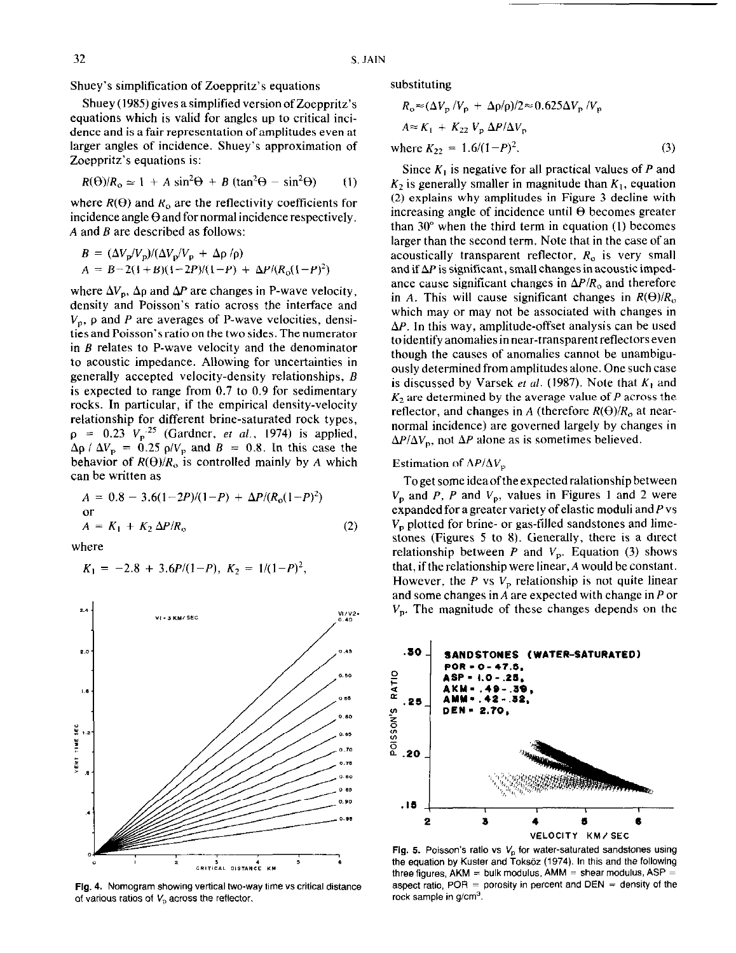Shuey's simplification of Zoeppritz's equations

Shuey (1985) gives a simplified version of Zoeppritz's equations which is valid for angles up to critical incidence and is a fair representation of amplitudes even at larger angles of incidence. Shuey's approximation of Zoeppritz's equations is:

$$
R(\Theta)/R_0 \simeq 1 + A \sin^2 \Theta + B (\tan^2 \Theta - \sin^2 \Theta) \qquad (1)
$$

where  $R(\theta)$  and  $R_0$  are the reflectivity coefficients for incidence angle  $\Theta$  and for normal incidence respectively. A and B are described as follows:

$$
B = (\Delta V_{\rm p}/V_{\rm p})/(\Delta V_{\rm p}/V_{\rm p} + \Delta \rho/\rho)
$$
  
\n
$$
A = B - 2(1 + B)(1 - 2P)/(1 - P) + \Delta P/(R_0(1 - P)^2)
$$

where  $\Delta V_p$ ,  $\Delta \rho$  and  $\Delta P$  are changes in P-wave velocity, density and Poisson's ratio across the interface and  $V_p$ ,  $\rho$  and P are averages of P-wave velocities, densities and Poisson's ratio on the two sides. The numerator in  $B$  relates to P-wave velocity and the denominator to acoustic impedance. Allowing for uncertainties in generally accepted velocity-density relationships, B is expected to range from 0.7 to 0.9 for sedimentary rocks. In particular, if the empirical density-velocity relationship for different brine-saturated rock types,  $\rho = 0.23 \text{ V}_p^2$  (Gardner, *et al.*, 1974) is applied,  $\Delta \rho$  /  $\Delta V_p = 0.25 \rho/V_p$  and  $B = 0.8$ . In this case the behavior of  $R(\Theta)/R_0$  is controlled mainly by A which can be written as

$$
A = 0.8 - 3.6(1-2P)/(1-P) + \Delta P/(R_0(1-P)^2)
$$
  
or  

$$
A = K_1 + K_2 \Delta P/R_0
$$
 (2)

where

$$
K_1 = -2.8 + 3.6P/(1-P), K_2 = 1/(1-P)^2
$$



Fig. 4. Nomogram showing vertical two-way time vs critical distance of various ratios of  $V<sub>p</sub>$  across the reflector.

substituting

$$
R_o \approx (\Delta V_p / V_p + \Delta p / \rho) / 2 \approx 0.625 \Delta V_p / V_p
$$
  
\n
$$
A \approx K_1 + K_{22} V_p \Delta P / \Delta V_p
$$
  
\nwhere  $K_{22} = 1.6/(1 - P)^2$ . (3)

Since  $K_1$  is negative for all practical values of P and  $K<sub>2</sub>$  is generally smaller in magnitude than  $K<sub>1</sub>$ , equation (2) explains why amplitudes in Figure 3 decline with increasing angle of incidence until  $\Theta$  becomes greater than  $30^{\circ}$  when the third term in equation (1) becomes larger than the second term. Note that in the case of an acoustically transparent reflector,  $R_0$  is very small and if  $\Delta P$  is significant, small changes in acoustic impedance cause significant changes in  $\Delta P/R_0$  and therefore in A. This will cause significant changes in  $R(\Theta)/R_0$ which may or may not be associated with changes in  $\Delta P$ . In this way, amplitude-offset analysis can be used toidentifyanomaliesinnear-transparent reflectorseven though the causes of anomalies cannot be unambiguously determined from amplitudes alone. One such case is discussed by Varsek et al. (1987). Note that  $K_1$  and  $K_2$  are determined by the average value of P across the reflector, and changes in A (therefore  $R(\Theta)/R_0$  at nearnormal incidence) are governed largely by changes in  $\Delta P/\Delta V_p$ , not  $\Delta P$  alone as is sometimes believed.

## Estimation of  $\Delta P/\Delta V_{\rm p}$

Toget someideaoftheexpectedralationship between  $V_p$  and P, P and  $V_p$ , values in Figures 1 and 2 were expanded for a greater variety of elastic moduli and  $P$  vs  $V_p$  plotted for brine- or gas-filled sandstones and limestones (Figures 5 to 8). Generally, there is a direct relationship between P and  $V_p$ . Equation (3) shows that, if the relationship were linear, A would be constant. However, the P vs  $V_p$  relationship is not quite linear and some changes in A are expected with change in P or  $V_p$ . The magnitude of these changes depends on the



Fig. 5. Poisson's ratio vs  $V_0$  for water-saturated sandstones using the equation by Kuster and Toksöz (1974). In this and the following three figures,  $AKM = bulk$  modulus,  $AMM = shear$  modulus,  $ASP =$ aspect ratio,  $POR =$  porosity in percent and  $DEN =$  density of the rock sample in  $q/cm<sup>3</sup>$ .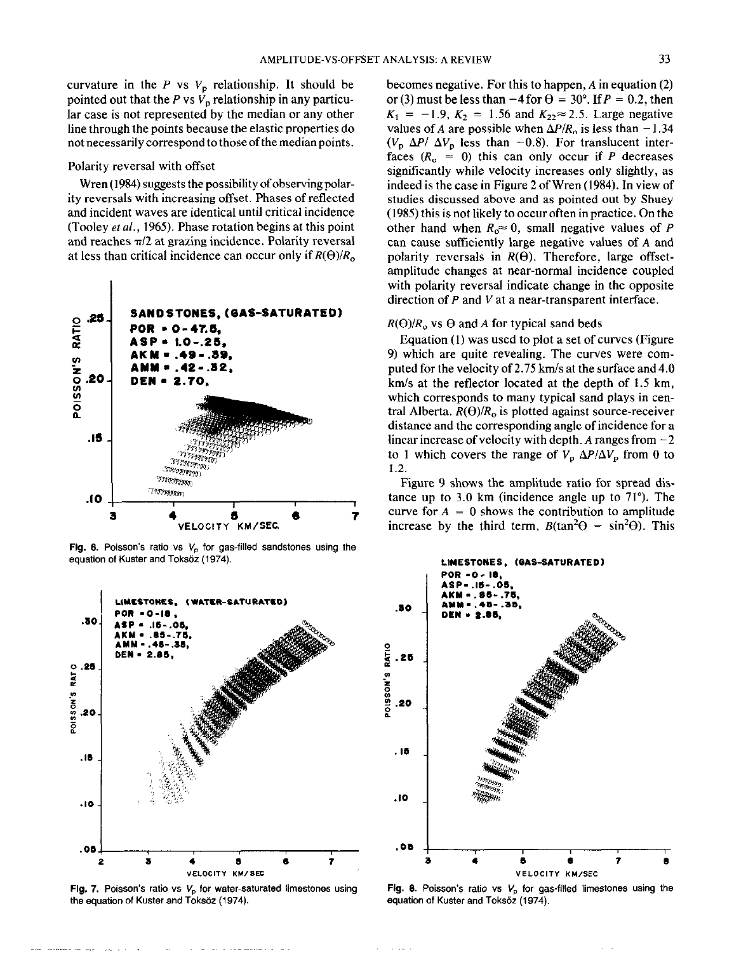curvature in the  $P$  vs  $V_p$  relationship. It should be pointed out that the P vs  $V_p$  relationship in any particular case is not represented by the median or any other line through the points because the elastic properties do not necessarily correspond to those of the median points.

## Polarity reversal with offset

Wren (1984) suggests the possibility of observing polarity reversals with increasing offset. Phases of reflected and incident waves are identical until critical incidence (Tooley et al., 1965). Phase rotation begins at this point and reaches  $\pi/2$  at grazing incidence. Polarity reversal at less than critical incidence can occur only if  $R(\Theta)/R_0$ 



Fig. 6. Poisson's ratio vs  $V_p$  for gas-filled sandstones using the equation of Kuster and Toksöz (1974).



Fig. 7. Poisson's ratio vs  $V<sub>p</sub>$  for water-saturated limestones using the equation of Kuster and Toksöz (1974).

becomes negative. For this to happen,  $A$  in equation (2) or (3) must be less than  $-4$  for  $\theta = 30^{\circ}$ . If  $P = 0.2$ , then  $K_1 = -1.9$ ,  $K_2 = 1.56$  and  $K_{22} \approx 2.5$ . Large negative values of A are possible when  $\Delta P/R_0$  is less than -1.34  $(V_p \Delta P / \Delta V_p)$  less than -0.8). For translucent interfaces  $(R_0 = 0)$  this can only occur if P decreases significantly while velocity increases only slightly, as indeed is the case in Figure 2 of Wren (1984). In view of studies discussed above and as pointed out by Shuey (1985) this is not likely to occur often in practice. On the other hand when  $R_0 \approx 0$ , small negative values of P can cause sufficiently large negative values of A and polarity reversals in  $R(\theta)$ . Therefore, large offsetamplitude changes at near-normal incidence coupled with polarity reversal indicate change in the opposite direction of  $P$  and  $V$  at a near-transparent interface.

### $R(\Theta)/R_0$  vs  $\Theta$  and A for typical sand beds

Equation (1) was used to plot a set of curves (Figure 9) which are quite revealing. The curves were computed for the velocity of 2.75 km/s at the surface and 4.0 km/s at the reflector located at the depth of 1.5 km, which corresponds to many typical sand plays in central Alberta.  $R(\Theta)/R_0$  is plotted against source-receiver distance and the corresponding angle of incidence for a linear increase of velocity with depth. A ranges from  $-2$ to 1 which covers the range of  $V_p \Delta P/\Delta V_p$  from 0 to  $1.2.$ 

Figure 9 shows the amplitude ratio for spread distance up to 3.0 km (incidence angle up to  $71^{\circ}$ ). The curve for  $A = 0$  shows the contribution to amplitude increase by the third term,  $B(\tan^2\Theta - \sin^2\Theta)$ . This



Fig. 8. Poisson's ratio vs  $V_n$  for gas-filled limestones using the equation of Kuster and Toksöz (1974).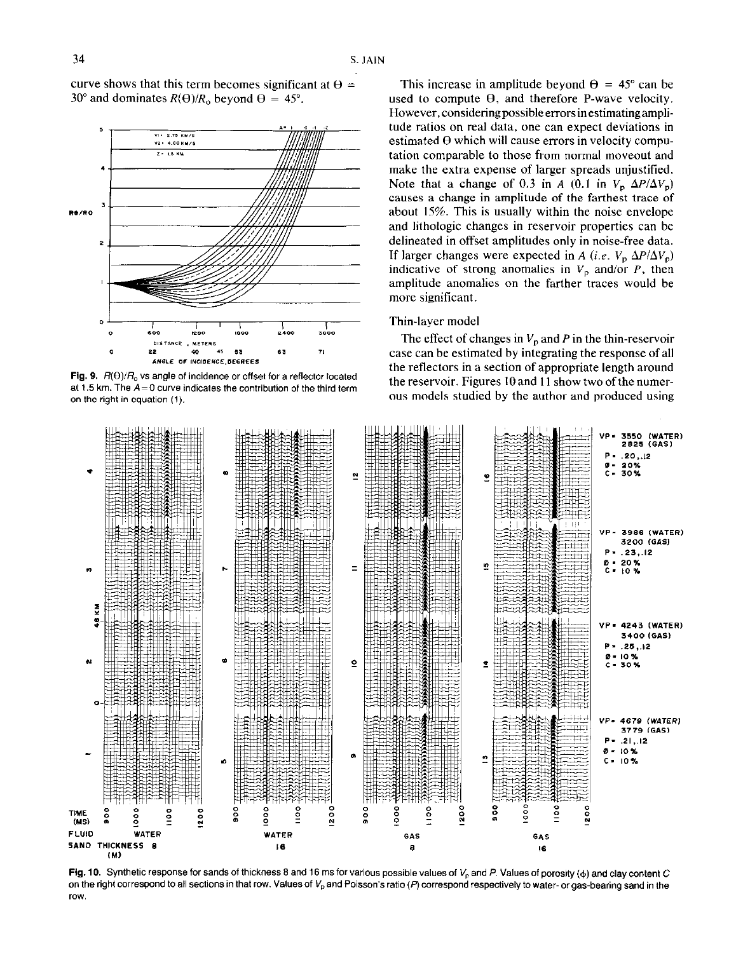curve shows that this term becomes significant at  $\theta =$ 30° and dominates  $R(\Theta)/R_0$  beyond  $\Theta = 45^\circ$ .



Fig. 9.  $R(\Theta)/R_0$  vs angle of incidence or offset for a reflector located at 1.5 km. The  $A=0$  curve indicates the contribution of the third term on the right in equation (1).

This increase in amplitude beyond  $\theta = 45^{\circ}$  can be used to compute  $\Theta$ , and therefore P-wave velocity. However,consideringpossibleerrorsinestimatingamplitude ratios on real data, one can expect deviations in estimated  $\Theta$  which will cause errors in velocity computation comparable to those from normal moveout and make the extra expense of larger spreads unjustified. Note that a change of 0.3 in A (0.1 in  $V_p \Delta P/\Delta V_p$ ) causes a change in amplitude of the farthest trace of about 15%. This is usually within the noise envelope and lithologic changes in reservoir properties can be delineated in offset amplitudes only in noise-free data. If larger changes were expected in A (i.e.  $V_p \Delta P / \Delta V_p$ ) indicative of strong anomalies in  $V_p$  and/or P, then amplitude anomalies on the farther traces would be more significant.

## Thin-layer model

The effect of changes in  $V_p$  and P in the thin-reservoir case can he estimated by integrating the response of all the reflectors in a section of appropriate length around the reservoir. Figures 10 and 11 show two of the numerous models studied by the author and produced using



Fig. 10. Synthetic response for sands of thickness 8 and 16 ms for various possible values of  $V_p$  and P. Values of porosity ( $\phi$ ) and clay content C on the right correspond to all sections in that row. Values of  $V_p$  and Poisson's ratio (P) correspond respectively to water- or gas-bearing sand in the row.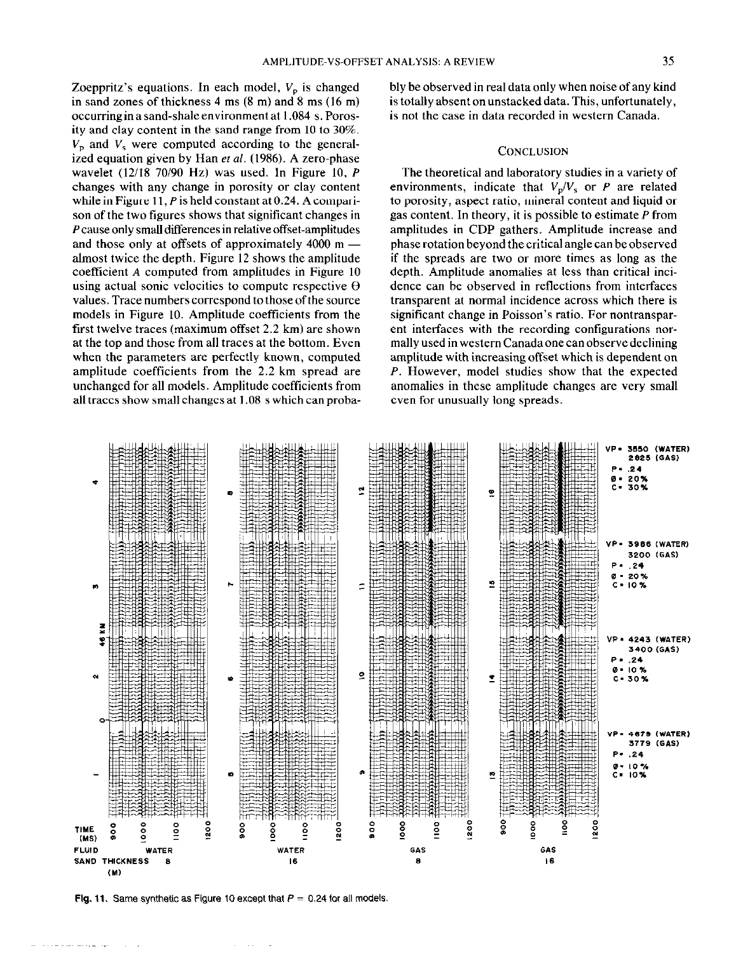Zoeppritz's equations. In each model,  $V_p$  is changed in sand zones of thickness 4 ms (8 m) and 8 ms (16 m) occurring in a sand-shale environment at 1.084 s. Porosity and clay content in the sand range from 10 to 30%.  $V<sub>p</sub>$  and  $V<sub>s</sub>$  were computed according to the generalized equation given by Han et al. (1986). A zero-phase wavelet  $(12/18 70/90 Hz)$  was used. In Figure 10, P changes with any change in porosity or clay content while in Figure 11, P is held constant at 0.24. A comparison of the two figures shows that significant changes in P cause only small differences in relative offset-amplitudes and those only at offsets of approximately  $4000 \text{ m}$  almost twice the depth. Figure 12 shows the amplitude coefficient A computed from amplitudes in Figure 10 using actual sonic velocities to compute respective  $\Theta$ values. Trace numbers correspond to those of the source models in Figure 10. Amplitude coefficients from the first twelve traces (maximum offset 2.2 km) are shown at the top and those from all traces at the bottom. Even when the parameters are perfectly known, computed amplitude coefficients from the 2.2 km spread are unchanged for all models. Amplitude coefficients from all traces show small changes at 1.08 s which can probably be observed in real data only when noise of any kind is totally absent on unstacked data. This, unfortunately, is not the case in data recorded in western Canada.

### **CONCLUSION**

The theoretical and laboratory studies in a variety of environments, indicate that  $V_p/V_s$  or P are related to porosity, aspect ratio, mineral content and liquid or gas content. In theory, it is possible to estimate P from amplitudes in CDP gathers. Amplitude increase and phase rotation beyond the critical angle can be observed if the spreads are two or more times as long as the depth. Amplitude anomalies at less than critical incidence can be observed in reflections from interfaces transparent at normal incidence across which there is significant change in Poisson's ratio. For nontransparent interfaces with the recording configurations normallyusedinwestemCanadaonecanobservedeclining amplitude with increasing offset which is dependent on P. However, model studies show that the expected anomalies in these amplitude changes are very small even for unusually long spreads.



Flg. 11. Same synthetic as Figure 10 except that  $P = 0.24$  for all models.